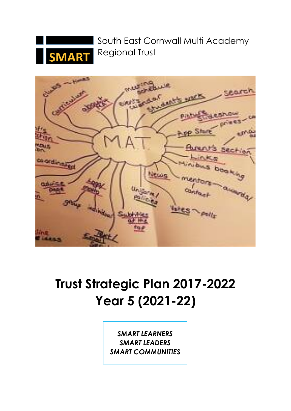

South East Cornwall Multi Academy Regional Trust



# **Trust Strategic Plan 2017-2022 Year 5 (2021-22)**

*SMART LEARNERS SMART LEADERS SMART COMMUNITIES*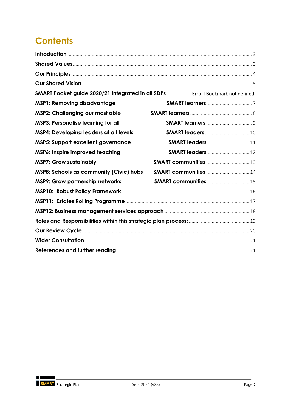## **Contents**

| SMART Pocket guide 2020/21 integrated in all SDPs Error! Bookmark not defined. |                         |  |
|--------------------------------------------------------------------------------|-------------------------|--|
| <b>MSP1: Removing disadvantage</b>                                             |                         |  |
| <b>MSP2: Challenging our most able</b>                                         |                         |  |
| <b>MSP3: Personalise learning for all</b>                                      |                         |  |
| <b>MSP4: Developing leaders at all levels</b>                                  |                         |  |
| <b>MSP5: Support excellent governance</b>                                      | <b>SMART leaders 11</b> |  |
| MSP6: Inspire improved teaching                                                |                         |  |
| <b>MSP7: Grow sustainably</b>                                                  |                         |  |
| <b>MSP8: Schools as community (Civic) hubs</b>                                 |                         |  |
| <b>MSP9: Grow partnership networks</b>                                         |                         |  |
|                                                                                |                         |  |
|                                                                                |                         |  |
|                                                                                |                         |  |
|                                                                                |                         |  |
|                                                                                |                         |  |
|                                                                                |                         |  |
|                                                                                |                         |  |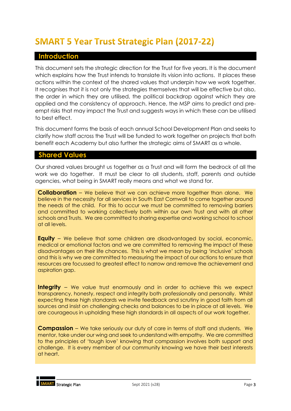## **SMART 5 Year Trust Strategic Plan (2017-22)**

### <span id="page-2-0"></span>**Introduction**

This document sets the strategic direction for the Trust for five years. It is the document which explains how the Trust intends to translate its vision into actions. It places these actions within the context of the shared values that underpin how we work together. It recognises that it is not only the strategies themselves that will be effective but also, the order in which they are utilised, the political backdrop against which they are applied and the consistency of approach. Hence, the MSP aims to predict and preempt risks that may impact the Trust and suggests ways in which these can be utilised to best effect.

This document forms the basis of each annual School Development Plan and seeks to clarify how staff across the Trust will be funded to work together on projects that both benefit each Academy but also further the strategic aims of SMART as a whole.

### <span id="page-2-1"></span>**Shared Values**

Our shared values brought us together as a Trust and will form the bedrock of all the work we do together. It must be clear to all students, staff, parents and outside agencies, what being in SMART really means and what we stand for.

**Collaboration** – We believe that we can achieve more together than alone. We believe in the necessity for all services in South East Cornwall to come together around the needs of the child. For this to occur we must be committed to removing barriers and committed to working collectively both within our own Trust and with all other schools and Trusts. We are committed to sharing expertise and working school to school at all levels.

**Equity** – We believe that some children are disadvantaged by social, economic, medical or emotional factors and we are committed to removing the impact of these disadvantages on their life chances. This is what we mean by being 'inclusive' schools and this is why we are committed to measuring the impact of our actions to ensure that resources are focussed to greatest effect to narrow and remove the achievement and aspiration gap.

**Integrity** – We value trust enormously and in order to achieve this we expect transparency, honesty, respect and integrity both professionally and personally. Whilst expecting these high standards we invite feedback and scrutiny in good faith from all sources and insist on challenging checks and balances to be in place at all levels. We are courageous in upholding these high standards in all aspects of our work together.

**Compassion** – We take seriously our duty of care in terms of staff and students. We mentor, take under our wing and seek to understand with empathy. We are committed to the principles of 'tough love' knowing that compassion involves both support and challenge. It is every member of our community knowing we have their best interests at heart.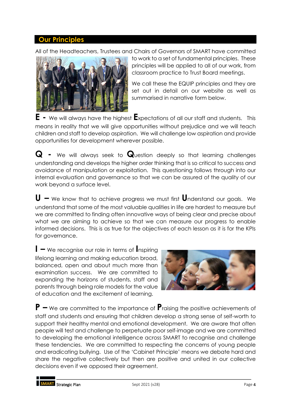### <span id="page-3-0"></span>**Our Principles**

All of the Headteachers, Trustees and Chairs of Governors of SMART have committed



to work to a set of fundamental principles. These principles will be applied to all of our work, from classroom practice to Trust Board meetings.

We call these the EQUIP principles and they are set out in detail on our website as well as summarised in narrative form below.

**E -** We will always have the highest **E**xpectations of all our staff and students. This means in reality that we will give opportunities without prejudice and we will teach children and staff to develop aspiration. We will challenge low aspiration and provide opportunities for development wherever possible.

**Q -** We will always seek to **Q**uestion deeply so that learning challenges understanding and develops the higher order thinking that is so critical to success and avoidance of manipulation or exploitation. This questioning follows through into our internal evaluation and governance so that we can be assured of the quality of our work beyond a surface level.

**U –** We know that to achieve progress we must first **U**nderstand our goals. We understand that some of the most valuable qualities in life are hardest to measure but we are committed to finding often innovative ways of being clear and precise about what we are aiming to achieve so that we can measure our progress to enable informed decisions. This is as true for the objectives of each lesson as it is for the KPIs for governance.

**I –** We recognise our role in terms of **I**nspiring lifelong learning and making education broad, balanced, open and about much more than examination success. We are committed to expanding the horizons of students, staff and parents through being role models for the value of education and the excitement of learning.



**P –** We are committed to the importance of **P**raising the positive achievements of staff and students and ensuring that children develop a strong sense of self-worth to support their healthy mental and emotional development. We are aware that often people will test and challenge to perpetuate poor self-image and we are committed to developing the emotional intelligence across SMART to recognise and challenge these tendencies. We are committed to respecting the concerns of young people and eradicating bullying. Use of the 'Cabinet Principle' means we debate hard and share the negative collectively but then are positive and united in our collective decisions even if we opposed their agreement.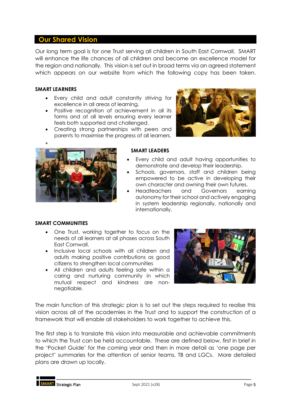### <span id="page-4-0"></span>**Our Shared Vision**

Our long term goal is for one Trust serving all children in South East Cornwall. SMART will enhance the life chances of all children and become an excellence model for the region and nationally. This vision is set out in broad terms via an agreed statement which appears on our website from which the following copy has been taken.

### **SMART LEARNERS**

- Every child and adult constantly striving for excellence in all areas of learning.
- Positive recognition of achievement in all its forms and at all levels ensuring every learner feels both supported and challenged.
- Creating strong partnerships with peers and parents to maximise the progress of all learners.





### **SMART LEADERS**

- Every child and adult having opportunities to demonstrate and develop their leadership.
- Schools, governors, staff and children being empowered to be active in developing their own character and owning their own futures.
- Headteachers and Governors earning autonomy for their school and actively engaging in system leadership regionally, nationally and internationally.

### **SMART COMMUNITIES**

- One Trust, working together to focus on the needs of all learners at all phases across South East Cornwall.
- Inclusive local schools with all children and adults making positive contributions as good citizens to strengthen local communities
- All children and adults feeling safe within a caring and nurturing community in which mutual respect and kindness are nonnegotiable.



The main function of this strategic plan is to set out the steps required to realise this vision across all of the academies in the Trust and to support the construction of a framework that will enable all stakeholders to work together to achieve this.

The first step is to translate this vision into measurable and achievable commitments to which the Trust can be held accountable. These are defined below, first in brief in the 'Pocket Guide' for the coming year and then in more detail as 'one page per project' summaries for the attention of senior teams, TB and LGCs. More detailed plans are drawn up locally.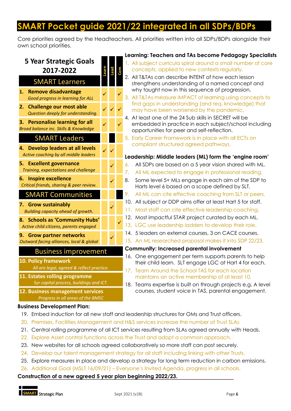## **SMART Pocket guide 2021/22 integrated in all SDPs/BDPs**

Core priorities agreed by the Headteachers. All priorities written into all SDPs/BDPs alongside their own school priorities.

### **5 Year Strategic Goals 2017-2022 Learn Lead Com** SMART Learners **1. Remove disadvantage** *Good progress in learning for ALL* ✓ ✓ **2. Challenge our most able** *Question deeply for understanding.* ✓ ✓ ✓ **3. Personalise learning for all** *Broad balance inc. Skills & Knowledge* ✓ ✓ SMART Leaders **4. Develop leaders at all levels** *Active coaching by all middle leaders* ✓ ✓ **5. Excellent governance** *Training, expectations and challenge* ✓ **6. Inspire excellence** *Critical friends, sharing & peer review.* ✓ SMART Communities **7. Grow sustainably** *Building capacity ahead of growth.* ✓ **8. Schools as 'Community Hubs'** *Active child citizens, parents engaged* ✓ **9. Grow partner networks** *Outward facing alliances, local & global*  ✓ Business improvement **10. Policy framework** *All are legal, agreed & reflect practice.* **11. Estates rolling programme** *5yr capital process, buildings and ICT.* **Learning: Teachers and TAs become Pedagogy Specialists** 1. All subject curricula spiral around a small number of core concepts, applied to new contexts regularly. 2. All T&TAs can describe INTENT of how each lesson strengthens understanding of a named concept and why taught now in this sequence of progression. 3. All T&TAs measure IMPACT of learning using concepts to find gaps in understanding (and req. knowledge) that may have been worsened by the pandemic. 4. At least one of the 24 Sub skills in SECRET will be embedded in practice in each subject/school including opportunities for peer and self-reflection. 5. Early Career Framework is in place with all ECTs on compliant structured agreed pathways. **Leadership: Middle leaders (ML) form the 'engine room'** 6. All SDPs are based on a 5 year vision shared with ML. 7. All ML expected to engage in professional reading. 8. Some level 5+ MLs engage in each aim of the SDP to Harts level 6 based on a scope defined by SLT. 9. All ML can cite effective coaching from SLT or peers. 10. All subject or DDP aims offer at least Hart 5 for staff. 11. Most staff can cite effective leadership coaching. 12. Most impactful STAR project curated by each ML. 13. LGC use leadership ladders to develop their role. 14. 5 leaders on external courses, 3 on CACE courses. 15. An ML researched proposal makes it into SDP 22/23. **Community: Increased parental involvement** 16. One engagement per term supports parents to help their child learn. SLT engage LGC at Hart 4 for each. 17. Team Around the School TAS for each location maintains an active membership of at least 10. 18. Teams expertise is built on through projects e.g. A level

**12. Business management services** *Progress in all areas of the BMSC*

### **Business Development Plan:**

- 19. Embed induction for all new staff and leadership structures for OMs and Trust officers.
- 20. Premises, Facilities Management and H&S services increase the number of Trust SLAs
- 21. Central rolling programme of all ICT services resulting from SLAs agreed annually with Heads.
- 22. Explore Asset control functions across the Trust and adopt a common approach.
- 23. New websites for all schools agreed collaboratively so more staff can post securely.
- 24. Develop our talent management strategy for all staff including linking with other Trusts.
- 25. Explore measures in place and develop a strategy for long term reduction in carbon emissions.
- 26. Additional Goal (MSLT 16/09/21) Everyone's Invited Agenda, progress in all schools.

**Construction of a new agreed 5 year plan beginning 2022/23.**

courses, student voice in TAS, parental engagement.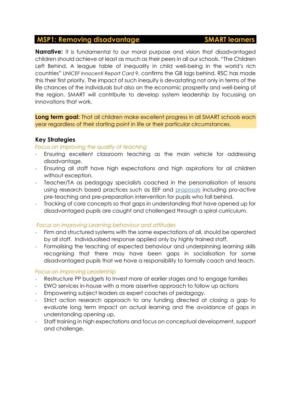### <span id="page-6-0"></span>**MSP1: Removing disadvantage SMART learners**

**Narrative:** It is fundamental to our moral purpose and vision that disadvantaged children should achieve at least as much as their peers in all our schools. "The Children Left Behind. A league table of inequality in child well-being in the world's rich countries" *UNICEF Innocenti Report Card 9*, confirms the GB lags behind. RSC has made this their first priority. The impact of such inequity is devastating not only in terms of the life chances of the individuals but also on the economic prosperity and well-being of the region. SMART will contribute to develop system leadership by focussing on innovations that work.

**Long term goal:** That all children make excellent progress in all SMART schools each year regardless of their starting point in life or their particular circumstances.

### **Key Strategies**

### *Focus on improving the quality of teaching*

- Ensuring excellent classroom teaching as the main vehicle for addressing disadvantage.
- Ensuring all staff have high expectations and high aspirations for all children without exception.
- Teacher/TA as pedagogy specialists coached in the personalisation of lessons using research based practices such as EEF and [proposals](https://www.education.gov.uk/consultations/downloadableDocs/How%20can%20we%20help%20every%20pupil%20to%20make%20good%20progress%20at%20school.pdf) including pro-active pre-teaching and pre-preparation intervention for pupils who fall behind.
- Tracking of core concepts so that gaps in understanding that have opened up for disadvantaged pupils are caught and challenged through a spiral curriculum.

### *Focus on improving Learning behaviour and attitudes*

- Firm and structured systems with the same expectations of all, should be operated by all staff. Individualised response applied only by highly trained staff.
- Formalising the teaching of expected behaviour and underpinning learning skills recognising that there may have been gaps in socialisation for some disadvantaged pupils that we have a responsibility to formally coach and teach.

### *Focus on improving Leadership*

- Restructure PP budgets to Invest more at earlier stages and to engage families
- EWO services in-house with a more assertive approach to follow up actions
- Empowering subject leaders as expert coaches of pedagogy.
- Strict action research approach to any funding directed at closing a gap to evaluate long term impact on actual learning and the avoidance of gaps in understanding opening up.
- Staff training in high expectations and focus on conceptual development, support and challenge.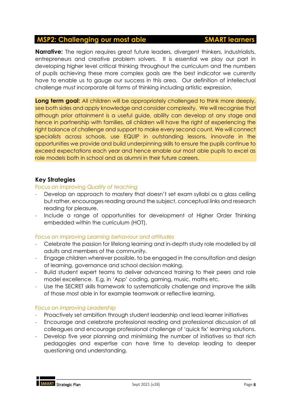### <span id="page-7-0"></span>**MSP2: Challenging our most able SMART learners**

### **Narrative:** The region requires great future leaders, divergent thinkers, industrialists, entrepreneurs and creative problem solvers. It is essential we play our part in developing higher level critical thinking throughout the curriculum and the numbers of pupils achieving these more complex goals are the best indicator we currently have to enable us to gauge our success in this area. Our definition of intellectual challenge must incorporate all forms of thinking including artistic expression.

**Long term goal:** All children will be appropriately challenged to think more deeply, see both sides and apply knowledge and consider complexity. We will recognise that although prior attainment is a useful guide, ability can develop at any stage and hence in partnership with families, all children will have the right of experiencing the right balance of challenge and support to make every second count. We will connect specialists across schools, use EQUIP in outstanding lessons, innovate in the opportunities we provide and build underpinning skills to ensure the pupils continue to exceed expectations each year and hence enable our most able pupils to excel as role models both in school and as alumni in their future careers.

### **Key Strategies**

### *Focus on improving Quality of teaching*

- Develop an approach to mastery that doesn't set exam syllabi as a glass ceiling but rather, encourages reading around the subject, conceptual links and research reading for pleasure.
- Include a range of opportunities for development of Higher Order Thinking embedded within the curriculum (HOT).

### *Focus on improving Learning behaviour and attitudes*

- Celebrate the passion for lifelong learning and in-depth study role modelled by all adults and members of the community.
- Engage children wherever possible, to be engaged in the consultation and design of learning, governance and school decision making.
- Build student expert teams to deliver advanced training to their peers and role model excellence. E.g. in 'App' coding, gaming, music, maths etc.
- Use the SECRET skills framework to systematically challenge and improve the skills of those most able in for example teamwork or reflective learning.

### *Focus on improving Leadership*

- Proactively set ambition through student leadership and lead learner initiatives
- Encourage and celebrate professional reading and professional discussion of all colleagues and encourage professional challenge of 'quick fix' learning solutions.
- Develop five year planning and minimising the number of initiatives so that rich pedagogies and expertise can have time to develop leading to deeper questioning and understanding.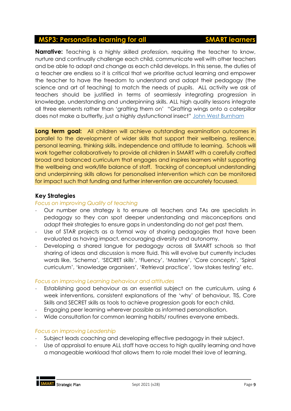### <span id="page-8-0"></span>**MSP3: Personalise learning for all SMART learners**

**Narrative:** Teaching is a highly skilled profession, requiring the teacher to know, nurture and continually challenge each child, communicate well with other teachers and be able to adapt and change as each child develops. In this sense, the duties of a teacher are endless so it is critical that we prioritise actual learning and empower the teacher to have the freedom to understand and adapt their pedagogy (the science and art of teaching) to match the needs of pupils. ALL activity we ask of teachers should be justified in terms of seamlessly integrating progression in knowledge, understanding and underpinning skills. ALL high quality lessons integrate all three elements rather than 'grafting them on' "Grafting wings onto a caterpillar does not make a butterfly, just a highly dysfunctional insect" [John West Burnham](https://saltashcloud-my.sharepoint.com/personal/dbuckley_saltashcloud_net/Documents/1%20New%20SMART/Job%20application/Grafting%20wings%20onto%20a%20caterpillar%20does%20not%20make%20a%20butterfly,%20just%20a%20highly%20dysfunctional%20insect)

**Long term goal:** All children will achieve outstanding examination outcomes in parallel to the development of wider skills that support their wellbeing, resilience, personal learning, thinking skills, independence and attitude to learning. Schools will work together collaboratively to provide all children in SMART with a carefully crafted broad and balanced curriculum that engages and inspires learners whilst supporting the wellbeing and work/life balance of staff. Tracking of conceptual understanding and underpinning skills allows for personalised intervention which can be monitored for impact such that funding and further intervention are accurately focussed.

### **Key Strategies**

### *Focus on improving Quality of teaching*

- Our number one strategy is to ensure all teachers and TAs are specialists in pedagogy so they can spot deeper understanding and misconceptions and adapt their strategies to ensure gaps in understanding do not get past them.
- Use of STAR projects as a formal way of sharing pedagogies that have been evaluated as having impact, encouraging diversity and autonomy.
- Developing a shared langue for pedagogy across all SMART schools so that sharing of ideas and discussion is more fluid. This will evolve but currently includes words like, 'Schema', 'SECRET skills', 'Fluency', 'Mastery', 'Core concepts', 'Spiral curriculum', 'knowledge organisers', 'Retrieval practice', 'low stakes testing' etc.

### *Focus on improving Learning behaviour and attitudes*

- Establishing good behaviour as an essential subject on the curriculum, using 6 week interventions, consistent explanations of the 'why' of behaviour, TIS, Core Skills and SECRET skills as tools to achieve progression goals for each child.
- Engaging peer learning wherever possible as informed personalisation.
- Wide consultation for common learning habits/ routines everyone embeds.

### *Focus on improving Leadership*

- Subject leads coaching and developing effective pedagogy in their subject.
- Use of appraisal to ensure ALL staff have access to high quality learning and have a manageable workload that allows them to role model their love of learning.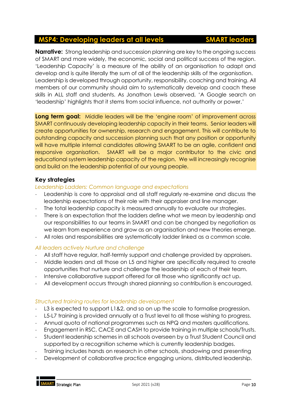### <span id="page-9-0"></span>**MSP4: Developing leaders at all levels SMART leaders**

**Narrative:** Strong leadership and succession planning are key to the ongoing success of SMART and more widely, the economic, social and political success of the region. 'Leadership Capacity' is a measure of the ability of an organisation to adapt and develop and is quite literally the sum of all of the leadership skills of the organisation. Leadership is developed through opportunity, responsibility, coaching and training. All members of our community should aim to systematically develop and coach these skills in ALL staff and students. As Jonathon Lewis observed, 'A Google search on 'leadership' highlights that it stems from social influence, not authority or power.'

**Long term goal:** Middle leaders will be the 'engine room' of improvement across SMART continuously developing leadership capacity in their teams. Senior leaders will create opportunities for ownership, research and engagement. This will contribute to outstanding capacity and succession planning such that any position or opportunity will have multiple internal candidates allowing SMART to be an agile, confident and responsive organisation. SMART will be a major contributor to the civic and educational system leadership capacity of the region. We will increasingly recognise and build on the leadership potential of our young people.

### **Key strategies**

### *Leadership Ladders: Common language and expectations*

- Leadership is core to appraisal and all staff regularly re-examine and discuss the leadership expectations of their role with their appraiser and line manager.
- The total leadership capacity is measured annually to evaluate our strategies.
- There is an expectation that the ladders define what we mean by leadership and our responsibilities to our teams in SMART and can be changed by negotiation as we learn from experience and grow as an organisation and new theories emerge.
- All roles and responsibilities are systematically ladder linked as a common scale.

### *All leaders actively Nurture and challenge*

- All staff have regular, half-termly support and challenge provided by appraisers.
- Middle leaders and all those on L5 and higher are specifically required to create opportunities that nurture and challenge the leadership of each of their team.
- Intensive collaborative support offered for all those who significantly act up.
- All development occurs through shared planning so contribution is encouraged.

### *Structured training routes for leadership development*

- L3 is expected to support L1&2, and so on up the scale to formalise progression.
- L5-L7 training is provided annually at a Trust level to all those wishing to progress.
- Annual quota of national programmes such as NPQ and masters qualifications.
- Engagement in RSC, CACE and CASH to provide training in multiple schools/Trusts.
- Student leadership schemes in all schools overseen by a Trust Student Council and supported by a recognition scheme which is currently leadership badges.
- Training includes hands on research in other schools, shadowing and presenting
- Development of collaborative practice engaging unions, distributed leadership.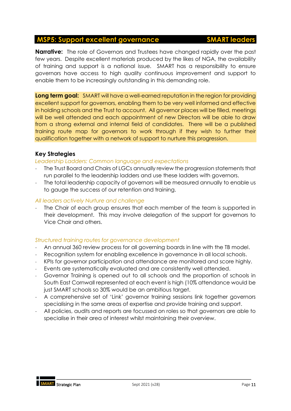### <span id="page-10-0"></span>**MSP5: Support excellent governance SMART leaders**

### **Narrative:** The role of Governors and Trustees have changed rapidly over the past few years. Despite excellent materials produced by the likes of NGA, the availability of training and support is a national issue. SMART has a responsibility to ensure governors have access to high quality continuous improvement and support to enable them to be increasingly outstanding in this demanding role.

**Long term goal:** SMART will have a well-earned reputation in the region for providing excellent support for governors, enabling them to be very well informed and effective in holding schools and the Trust to account. All governor places will be filled, meetings will be well attended and each appointment of new Directors will be able to draw from a strong external and internal field of candidates. There will be a published training route map for governors to work through if they wish to further their qualification together with a network of support to nurture this progression.

### **Key Strategies**

### *Leadership Ladders: Common language and expectations*

- The Trust Board and Chairs of LGCs annually review the progression statements that run parallel to the leadership ladders and use these ladders with governors.
- The total leadership capacity of governors will be measured annually to enable us to gauge the success of our retention and training.

### *All leaders actively Nurture and challenge*

The Chair of each group ensures that each member of the team is supported in their development. This may involve delegation of the support for governors to Vice Chair and others.

### *Structured training routes for governance development*

- An annual 360 review process for all governing boards in line with the TB model.
- Recognition system for enabling excellence in governance in all local schools.
- KPIs for governor participation and attendance are monitored and score highly.
- Events are systematically evaluated and are consistently well attended.
- Governor Training is opened out to all schools and the proportion of schools in South East Cornwall represented at each event is high (10% attendance would be just SMART schools so 30% would be an ambitious target.
- A comprehensive set of 'Link' governor training sessions link together governors specialising in the same areas of expertise and provide training and support.
- All policies, audits and reports are focussed on roles so that governors are able to specialise in their area of interest whilst maintaining their overview.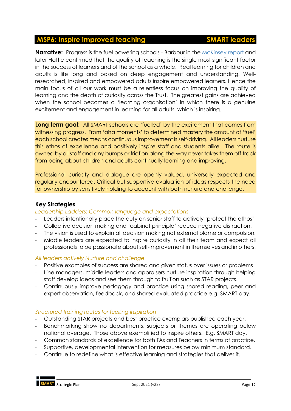### <span id="page-11-0"></span>**MSP6: Inspire improved teaching The SMART leaders**

**Narrative:** Progress is the fuel powering schools - Barbour in the [McKinsey](https://www.mckinsey.com/industries/social-sector/our-insights/how-the-worlds-most-improved-school-systems-keep-getting-better) report and later Hattie confirmed that the quality of teaching is the single most significant factor

in the success of learners and of the school as a whole. Real learning for children and adults is life long and based on deep engagement and understanding. Wellresearched, inspired and empowered adults inspire empowered learners. Hence the main focus of all our work must be a relentless focus on improving the quality of learning and the depth of curiosity across the Trust. The greatest gains are achieved when the school becomes a 'learning organisation' in which there is a genuine excitement and engagement in learning for all adults, which is inspiring.

**Long term goal:** All SMART schools are 'fuelled' by the excitement that comes from witnessing progress. From 'aha moments' to determined mastery the amount of 'fuel' each school creates means continuous improvement is self-driving. All leaders nurture this ethos of excellence and positively inspire staff and students alike. The route is owned by all staff and any bumps or friction along the way never takes them off track from being about children and adults continually learning and improving.

Professional curiosity and dialogue are openly valued, universally expected and regularly encountered. Critical but supportive evaluation of ideas respects the need for ownership by sensitively holding to account with both nurture and challenge.

### **Key Strategies**

*Leadership Ladders: Common language and expectations*

- Leaders intentionally place the duty on senior staff to actively 'protect the ethos'
- Collective decision making and 'cabinet principle' reduce negative distraction.
- The vision is used to explain all decision making not external blame or compulsion.
- Middle leaders are expected to inspire curiosity in all their team and expect all professionals to be passionate about self-improvement in themselves and in others.

### *All leaders actively Nurture and challenge*

- Positive examples of success are shared and given status over issues or problems
- Line managers, middle leaders and appraisers nurture inspiration through helping staff develop ideas and see them through to fruition such as STAR projects.
- Continuously improve pedagogy and practice using shared reading, peer and expert observation, feedback, and shared evaluated practice e.g. SMART day.

### *Structured training routes for fuelling inspiration*

- Outstanding STAR projects and best practice exemplars published each year.
- Benchmarking show no departments, subjects or themes are operating below national average. Those above exemplified to inspire others. E.g. SMART day.
- Common standards of excellence for both TAs and Teachers in terms of practice.
- Supportive, developmental intervention for measures below minimum standard.
- Continue to redefine what is effective learning and strategies that deliver it.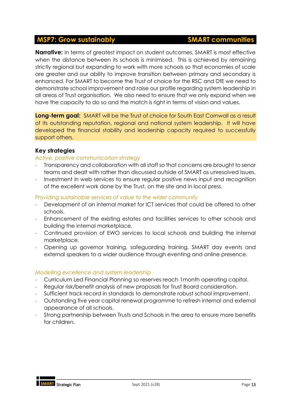### <span id="page-12-0"></span>**MSP7: Grow sustainably SMART communities**

**Narrative:** In terms of greatest impact on student outcomes, SMART is most effective when the distance between its schools is minimised. This is achieved by remaining strictly regional but expanding to work with more schools so that economies of scale are greater and our ability to improve transition between primary and secondary is enhanced. For SMART to become the Trust of choice for the RSC and DfE we need to demonstrate school improvement and raise our profile regarding system leadership in all areas of Trust organisation. We also need to ensure that we only expand when we have the capacity to do so and the match is right in terms of vision and values.

**Long-term goal:** SMART will be the Trust of choice for South East Cornwall as a result of its outstanding reputation, regional and national system leadership. It will have developed the financial stability and leadership capacity required to successfully support others.

### **Key strategies**

### *Active, positive communication strategy*

- Transparency and collaboration with all staff so that concerns are brought to senor teams and dealt with rather than discussed outside of SMART as unresolved issues.
- Investment in web services to ensure regular positive news input and recognition of the excellent work done by the Trust, on the site and in local press.

### *Providing sustainable services of value to the wider community*

- Development of an internal market for ICT services that could be offered to other schools.
- Enhancement of the existing estates and facilities services to other schools and building the internal marketplace.
- Continued provision of EWO services to local schools and building the internal marketplace.
- Opening up governor training, safeguarding training, SMART day events and external speakers to a wider audience through eventing and online presence.

### *Modelling excellence and system leadership*

- Curriculum Led Financial Planning so reserves reach 1month operating capital.
- Regular risk/benefit analysis of new proposals for Trust Board consideration.
- Sufficient track record in standards to demonstrate robust school improvement.
- Outstanding five year capital renewal programme to refresh internal and external appearance of all schools.
- Strong partnership between Trusts and Schools in the area to ensure more benefits for children.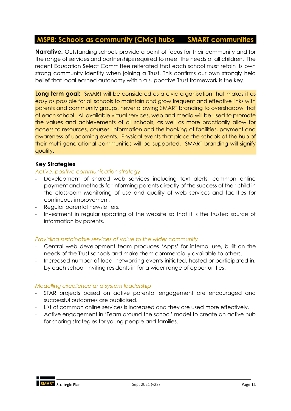### <span id="page-13-0"></span>**MSP8: Schools as community (Civic) hubs SMART communities**

**Narrative:** Outstanding schools provide a point of focus for their community and for the range of services and partnerships required to meet the needs of all children. The recent Education Select Committee reiterated that each school must retain its own strong community identity when joining a Trust. This confirms our own strongly held belief that local earned autonomy within a supportive Trust framework is the key.

**Long term goal:** SMART will be considered as a civic organisation that makes it as easy as possible for all schools to maintain and grow frequent and effective links with parents and community groups, never allowing SMART branding to overshadow that of each school. All available virtual services, web and media will be used to promote the values and achievements of all schools, as well as more practically allow for access to resources, courses, information and the booking of facilities, payment and awareness of upcoming events. Physical events that place the schools at the hub of their multi-generational communities will be supported. SMART branding will signify quality.

### **Key Strategies**

### *Active, positive communication strategy*

- Development of shared web services including text alerts, common online payment and methods for informing parents directly of the success of their child in the classroom Monitoring of use and quality of web services and facilities for continuous improvement.
- Regular parental newsletters.
- Investment in regular updating of the website so that it is the trusted source of information by parents.

### *Providing sustainable services of value to the wider community*

- Central web development team produces 'Apps' for internal use, built on the needs of the Trust schools and make them commercially available to others.
- Increased number of local networking events initiated, hosted or participated in, by each school, inviting residents in for a wider range of opportunities.

### *Modelling excellence and system leadership*

- STAR projects based on active parental engagement are encouraged and successful outcomes are publicised.
- List of common online services is increased and they are used more effectively.
- Active engagement in 'Team around the school' model to create an active hub for sharing strategies for young people and families.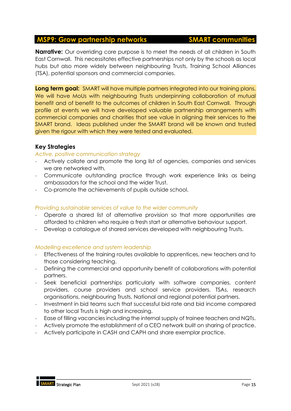### <span id="page-14-0"></span>**MSP9: Grow partnership networks SMART communities**

**Narrative:** Our overriding core purpose is to meet the needs of all children in South East Cornwall. This necessitates effective partnerships not only by the schools as local hubs but also more widely between neighbouring Trusts, Training School Alliances (TSA), potential sponsors and commercial companies.

**Long term goal:** SMART will have multiple partners integrated into our training plans. We will have MoUs with neighbouring Trusts underpinning collaboration of mutual benefit and of benefit to the outcomes of children in South East Cornwall. Through profile at events we will have developed valuable partnership arrangements with commercial companies and charities that see value in aligning their services to the SMART brand. Ideas published under the SMART brand will be known and trusted given the rigour with which they were tested and evaluated.

### **Key Strategies**

### *Active, positive communication strategy*

- Actively collate and promote the long list of agencies, companies and services we are networked with.
- Communicate outstanding practice through work experience links as being ambassadors for the school and the wider Trust.
- Co-promote the achievements of pupils outside school.

### *Providing sustainable services of value to the wider community*

- Operate a shared list of alternative provision so that more opportunities are afforded to children who require a fresh start or alternative behaviour support.
- Develop a catalogue of shared services developed with neighbouring Trusts.

### *Modelling excellence and system leadership*

- Effectiveness of the training routes available to apprentices, new teachers and to those considering teaching.
- Defining the commercial and opportunity benefit of collaborations with potential partners.
- Seek beneficial partnerships particularly with software companies, content providers, course providers and school service providers. TSAs, research organisations, neighbouring Trusts, National and regional potential partners.
- Investment in bid teams such that successful bid rate and bid income compared to other local Trusts is high and increasing.
- Ease of filling vacancies including the internal supply of trainee teachers and NQTs.
- Actively promote the establishment of a CEO network built on sharing of practice.
- Actively participate in CASH and CAPH and share exemplar practice.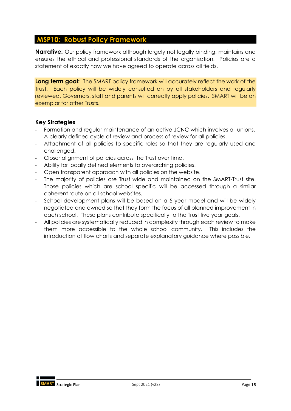### <span id="page-15-0"></span>**MSP10: Robust Policy Framework**

**Narrative:** Our policy framework although largely not legally binding, maintains and ensures the ethical and professional standards of the organisation. Policies are a statement of exactly how we have agreed to operate across all fields.

**Long term goal:** The SMART policy framework will accurately reflect the work of the Trust. Each policy will be widely consulted on by all stakeholders and regularly reviewed. Governors, staff and parents will correctly apply policies. SMART will be an exemplar for other Trusts.

### **Key Strategies**

- Formation and regular maintenance of an active JCNC which involves all unions.
- A clearly defined cycle of review and process of review for all policies.
- Attachment of all policies to specific roles so that they are regularly used and challenged.
- Closer alignment of policies across the Trust over time.
- Ability for locally defined elements to overarching policies.
- Open transparent approach with all policies on the website.
- The majority of policies are Trust wide and maintained on the SMART-Trust site. Those policies which are school specific will be accessed through a similar coherent route on all school websites.
- School development plans will be based on a 5 year model and will be widely negotiated and owned so that they form the focus of all planned improvement in each school. These plans contribute specifically to the Trust five year goals.
- All policies are systematically reduced in complexity through each review to make them more accessible to the whole school community. This includes the introduction of flow charts and separate explanatory guidance where possible.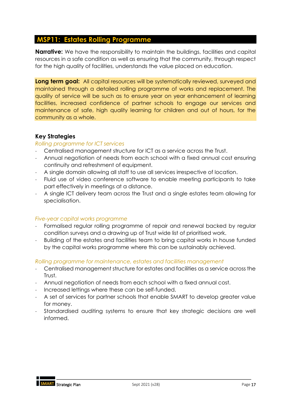### <span id="page-16-0"></span>**MSP11: Estates Rolling Programme**

**Narrative:** We have the responsibility to maintain the buildings, facilities and capital resources in a safe condition as well as ensuring that the community, through respect for the high quality of facilities, understands the value placed on education.

**Long term goal:** All capital resources will be systematically reviewed, surveyed and maintained through a detailed rolling programme of works and replacement. The quality of service will be such as to ensure year on year enhancement of learning facilities, increased confidence of partner schools to engage our services and maintenance of safe, high quality learning for children and out of hours, for the community as a whole.

### **Key Strategies**

### *Rolling programme for ICT services*

- Centralised management structure for ICT as a service across the Trust.
- Annual negotiation of needs from each school with a fixed annual cost ensuring continuity and refreshment of equipment.
- A single domain allowing all staff to use all services irrespective of location.
- Fluid use of video conference software to enable meeting participants to take part effectively in meetings at a distance.
- A single ICT delivery team across the Trust and a single estates team allowing for specialisation.

### *Five-year capital works programme*

- Formalised regular rolling programme of repair and renewal backed by regular condition surveys and a drawing up of Trust wide list of prioritised work.
- Building of the estates and facilities team to bring capital works in house funded by the capital works programme where this can be sustainably achieved.

### *Rolling programme for maintenance, estates and facilities management*

- Centralised management structure for estates and facilities as a service across the Trust.
- Annual negotiation of needs from each school with a fixed annual cost.
- Increased lettings where these can be self-funded.
- A set of services for partner schools that enable SMART to develop greater value for money.
- Standardised auditing systems to ensure that key strategic decisions are well informed.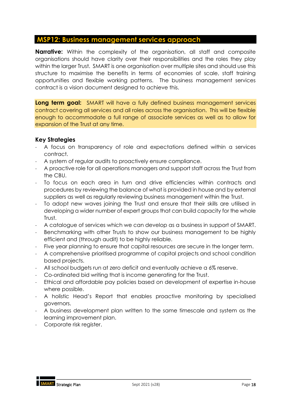### <span id="page-17-0"></span>**MSP12: Business management services approach**

**Narrative:** Within the complexity of the organisation, all staff and composite organisations should have clarity over their responsibilities and the roles they play within the larger Trust. SMART is one organisation over multiple sites and should use this structure to maximise the benefits in terms of economies of scale, staff training opportunities and flexible working patterns. The business management services contract is a vision document designed to achieve this.

**Long term goal:** SMART will have a fully defined business management services contract covering all services and all roles across the organisation. This will be flexible enough to accommodate a full range of associate services as well as to allow for expansion of the Trust at any time.

### **Key Strategies**

- A focus on transparency of role and expectations defined within a services contract.
- A system of regular audits to proactively ensure compliance.
- A proactive role for all operations managers and support staff across the Trust from the CBU.
- To focus on each area in turn and drive efficiencies within contracts and procedures by reviewing the balance of what is provided in house and by external suppliers as well as regularly reviewing business management within the Trust.
- To adopt new waves joining the Trust and ensure that their skills are utilised in developing a wider number of expert groups that can build capacity for the whole Trust.
- A catalogue of services which we can develop as a business in support of SMART.
- Benchmarking with other Trusts to show our business management to be highly efficient and (through audit) to be highly reliable.
- Five year planning to ensure that capital resources are secure in the longer term.
- A comprehensive prioritised programme of capital projects and school condition based projects.
- All school budgets run at zero deficit and eventually achieve a 6% reserve.
- Co-ordinated bid writing that is income generating for the Trust.
- Ethical and affordable pay policies based on development of expertise in-house where possible.
- A holistic Head's Report that enables proactive monitoring by specialised governors.
- A business development plan written to the same timescale and system as the learning improvement plan.
- Corporate risk reaister.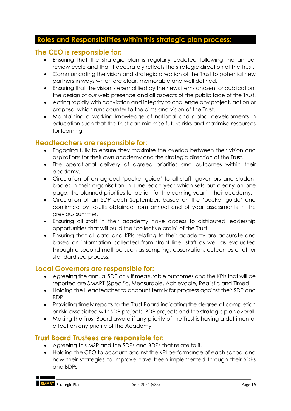### <span id="page-18-0"></span>**Roles and Responsibilities within this strategic plan process:**

### **The CEO is responsible for:**

- Ensuring that the strategic plan is regularly updated following the annual review cycle and that it accurately reflects the strategic direction of the Trust.
- Communicating the vision and strategic direction of the Trust to potential new partners in ways which are clear, memorable and well defined.
- Ensuring that the vision is exemplified by the news items chosen for publication, the design of our web presence and all aspects of the public face of the Trust.
- Acting rapidly with conviction and integrity to challenge any project, action or proposal which runs counter to the aims and vision of the Trust.
- Maintaining a working knowledge of national and global developments in education such that the Trust can minimise future risks and maximise resources for learning.

### **Headteachers are responsible for:**

- Engaging fully to ensure they maximise the overlap between their vision and aspirations for their own academy and the strategic direction of the Trust.
- The operational delivery of agreed priorities and outcomes within their academy.
- Circulation of an agreed 'pocket guide' to all staff, governors and student bodies in their organisation in June each year which sets out clearly on one page, the planned priorities for action for the coming year in their academy.
- Circulation of an SDP each September, based on the 'pocket guide' and confirmed by results obtained from annual end of year assessments in the previous summer.
- Ensuring all staff in their academy have access to distributed leadership opportunities that will build the 'collective brain' of the Trust.
- Ensuring that all data and KPIs relating to their academy are accurate and based on information collected from 'front line' staff as well as evaluated through a second method such as sampling, observation, outcomes or other standardised process.

### **Local Governors are responsible for:**

- Agreeing the annual SDP only if measurable outcomes and the KPIs that will be reported are SMART (Specific, Measurable, Achievable, Realistic and Timed).
- Holding the Headteacher to account termly for progress against their SDP and BDP.
- Providing timely reports to the Trust Board indicating the degree of completion or risk, associated with SDP projects, BDP projects and the strategic plan overall.
- Making the Trust Board aware if any priority of the Trust is having a detrimental effect on any priority of the Academy.

### **Trust Board Trustees are responsible for:**

- Agreeing this MSP and the SDPs and BDPs that relate to it.
- Holding the CEO to account against the KPI performance of each school and how their strategies to improve have been implemented through their SDPs and BDPs.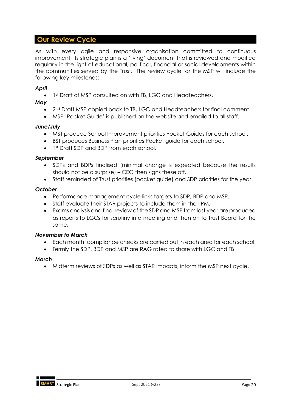### <span id="page-19-0"></span>**Our Review Cycle**

As with every agile and responsive organisation committed to continuous improvement, its strategic plan is a 'living' document that is reviewed and modified regularly in the light of educational, political, financial or social developments within the communities served by the Trust. The review cycle for the MSP will include the following key milestones:

### *April*

1st Draft of MSP consulted on with TB, LGC and Headteachers.

### *May*

- 2<sup>nd</sup> Draft MSP copied back to TB, LGC and Headteachers for final comment.
- MSP 'Pocket Guide' is published on the website and emailed to all staff.

### *June/July*

- MST produce School Improvement priorities Pocket Guides for each school.
- BST produces Business Plan priorities Pocket guide for each school.
- 1st Draft SDP and BDP from each school.

### *September*

- SDPs and BDPs finalised (minimal change is expected because the results should not be a surprise) – CEO then signs these off.
- Staff reminded of Trust priorities (pocket guide) and SDP priorities for the year.

### *October*

- Performance management cycle links targets to SDP, BDP and MSP.
- Staff evaluate their STAR projects to include them in their PM.
- Exams analysis and final review of the SDP and MSP from last year are produced as reports to LGCs for scrutiny in a meeting and then on to Trust Board for the same.

### *November to March*

- Each month, compliance checks are carried out in each area for each school.
- Termly the SDP, BDP and MSP are RAG rated to share with LGC and TB.

### *March*

• Midterm reviews of SDPs as well as STAR impacts, inform the MSP next cycle.